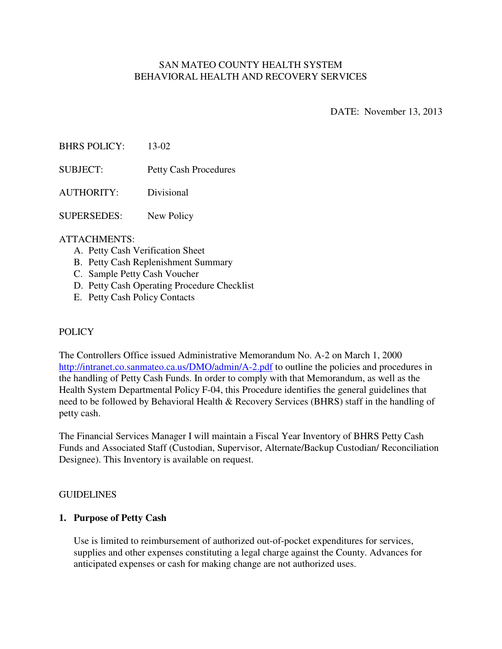# SAN MATEO COUNTY HEALTH SYSTEM BEHAVIORAL HEALTH AND RECOVERY SERVICES

DATE: November 13, 2013

BHRS POLICY: 13-02

SUBJECT: Petty Cash Procedures

AUTHORITY: Divisional

SUPERSEDES: New Policy

#### ATTACHMENTS:

- A. Petty Cash Verification Sheet
- B. Petty Cash Replenishment Summary
- C. Sample Petty Cash Voucher
- D. Petty Cash Operating Procedure Checklist
- E. Petty Cash Policy Contacts

#### POLICY

The Controllers Office issued Administrative Memorandum No. A-2 on March 1, 2000 http://intranet.co.sanmateo.ca.us/DMO/admin/A-2.pdf to outline the policies and procedures in the handling of Petty Cash Funds. In order to comply with that Memorandum, as well as the Health System Departmental Policy F-04, this Procedure identifies the general guidelines that need to be followed by Behavioral Health & Recovery Services (BHRS) staff in the handling of petty cash.

The Financial Services Manager I will maintain a Fiscal Year Inventory of BHRS Petty Cash Funds and Associated Staff (Custodian, Supervisor, Alternate/Backup Custodian/ Reconciliation Designee). This Inventory is available on request.

#### GUIDELINES

#### **1. Purpose of Petty Cash**

Use is limited to reimbursement of authorized out-of-pocket expenditures for services, supplies and other expenses constituting a legal charge against the County. Advances for anticipated expenses or cash for making change are not authorized uses.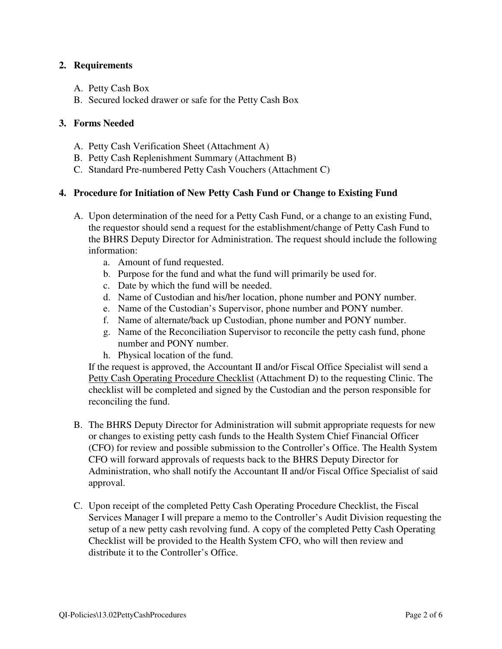## **2. Requirements**

- A. Petty Cash Box
- B. Secured locked drawer or safe for the Petty Cash Box

### **3. Forms Needed**

- A. Petty Cash Verification Sheet (Attachment A)
- B. Petty Cash Replenishment Summary (Attachment B)
- C. Standard Pre-numbered Petty Cash Vouchers (Attachment C)

#### **4. Procedure for Initiation of New Petty Cash Fund or Change to Existing Fund**

- A. Upon determination of the need for a Petty Cash Fund, or a change to an existing Fund, the requestor should send a request for the establishment/change of Petty Cash Fund to the BHRS Deputy Director for Administration. The request should include the following information:
	- a. Amount of fund requested.
	- b. Purpose for the fund and what the fund will primarily be used for.
	- c. Date by which the fund will be needed.
	- d. Name of Custodian and his/her location, phone number and PONY number.
	- e. Name of the Custodian's Supervisor, phone number and PONY number.
	- f. Name of alternate/back up Custodian, phone number and PONY number.
	- g. Name of the Reconciliation Supervisor to reconcile the petty cash fund, phone number and PONY number.
	- h. Physical location of the fund.

If the request is approved, the Accountant II and/or Fiscal Office Specialist will send a Petty Cash Operating Procedure Checklist (Attachment D) to the requesting Clinic. The checklist will be completed and signed by the Custodian and the person responsible for reconciling the fund.

- B. The BHRS Deputy Director for Administration will submit appropriate requests for new or changes to existing petty cash funds to the Health System Chief Financial Officer (CFO) for review and possible submission to the Controller's Office. The Health System CFO will forward approvals of requests back to the BHRS Deputy Director for Administration, who shall notify the Accountant II and/or Fiscal Office Specialist of said approval.
- C. Upon receipt of the completed Petty Cash Operating Procedure Checklist, the Fiscal Services Manager I will prepare a memo to the Controller's Audit Division requesting the setup of a new petty cash revolving fund. A copy of the completed Petty Cash Operating Checklist will be provided to the Health System CFO, who will then review and distribute it to the Controller's Office.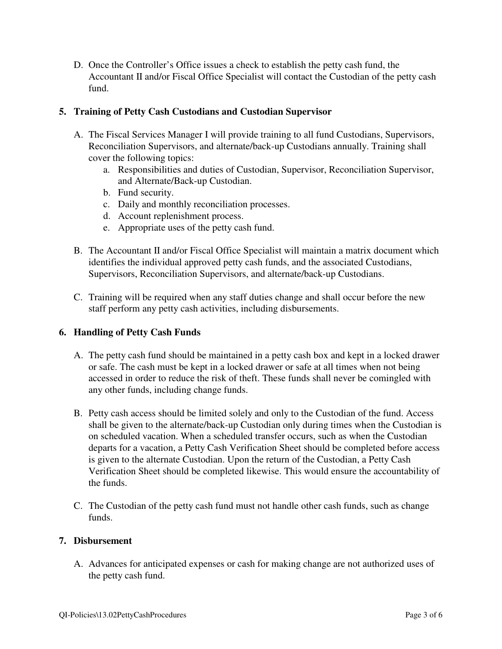D. Once the Controller's Office issues a check to establish the petty cash fund, the Accountant II and/or Fiscal Office Specialist will contact the Custodian of the petty cash fund.

## **5. Training of Petty Cash Custodians and Custodian Supervisor**

- A. The Fiscal Services Manager I will provide training to all fund Custodians, Supervisors, Reconciliation Supervisors, and alternate/back-up Custodians annually. Training shall cover the following topics:
	- a. Responsibilities and duties of Custodian, Supervisor, Reconciliation Supervisor, and Alternate/Back-up Custodian.
	- b. Fund security.
	- c. Daily and monthly reconciliation processes.
	- d. Account replenishment process.
	- e. Appropriate uses of the petty cash fund.
- B. The Accountant II and/or Fiscal Office Specialist will maintain a matrix document which identifies the individual approved petty cash funds, and the associated Custodians, Supervisors, Reconciliation Supervisors, and alternate/back-up Custodians.
- C. Training will be required when any staff duties change and shall occur before the new staff perform any petty cash activities, including disbursements.

# **6. Handling of Petty Cash Funds**

- A. The petty cash fund should be maintained in a petty cash box and kept in a locked drawer or safe. The cash must be kept in a locked drawer or safe at all times when not being accessed in order to reduce the risk of theft. These funds shall never be comingled with any other funds, including change funds.
- B. Petty cash access should be limited solely and only to the Custodian of the fund. Access shall be given to the alternate/back-up Custodian only during times when the Custodian is on scheduled vacation. When a scheduled transfer occurs, such as when the Custodian departs for a vacation, a Petty Cash Verification Sheet should be completed before access is given to the alternate Custodian. Upon the return of the Custodian, a Petty Cash Verification Sheet should be completed likewise. This would ensure the accountability of the funds.
- C. The Custodian of the petty cash fund must not handle other cash funds, such as change funds.

# **7. Disbursement**

A. Advances for anticipated expenses or cash for making change are not authorized uses of the petty cash fund.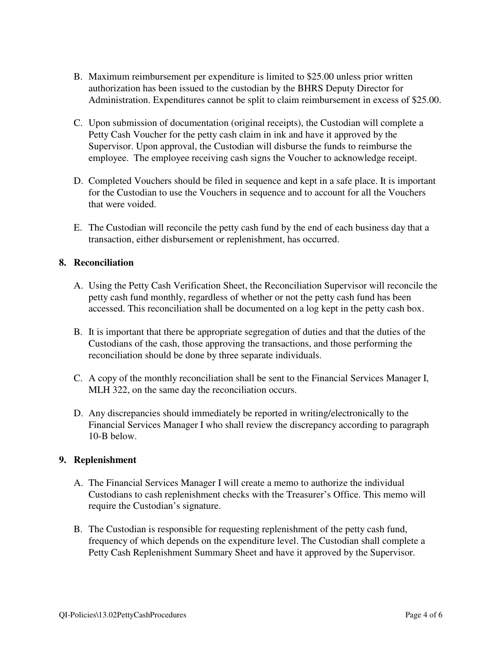- B. Maximum reimbursement per expenditure is limited to \$25.00 unless prior written authorization has been issued to the custodian by the BHRS Deputy Director for Administration. Expenditures cannot be split to claim reimbursement in excess of \$25.00.
- C. Upon submission of documentation (original receipts), the Custodian will complete a Petty Cash Voucher for the petty cash claim in ink and have it approved by the Supervisor. Upon approval, the Custodian will disburse the funds to reimburse the employee. The employee receiving cash signs the Voucher to acknowledge receipt.
- D. Completed Vouchers should be filed in sequence and kept in a safe place. It is important for the Custodian to use the Vouchers in sequence and to account for all the Vouchers that were voided.
- E. The Custodian will reconcile the petty cash fund by the end of each business day that a transaction, either disbursement or replenishment, has occurred.

## **8. Reconciliation**

- A. Using the Petty Cash Verification Sheet, the Reconciliation Supervisor will reconcile the petty cash fund monthly, regardless of whether or not the petty cash fund has been accessed. This reconciliation shall be documented on a log kept in the petty cash box.
- B. It is important that there be appropriate segregation of duties and that the duties of the Custodians of the cash, those approving the transactions, and those performing the reconciliation should be done by three separate individuals.
- C. A copy of the monthly reconciliation shall be sent to the Financial Services Manager I, MLH 322, on the same day the reconciliation occurs.
- D. Any discrepancies should immediately be reported in writing/electronically to the Financial Services Manager I who shall review the discrepancy according to paragraph 10-B below.

## **9. Replenishment**

- A. The Financial Services Manager I will create a memo to authorize the individual Custodians to cash replenishment checks with the Treasurer's Office. This memo will require the Custodian's signature.
- B. The Custodian is responsible for requesting replenishment of the petty cash fund, frequency of which depends on the expenditure level. The Custodian shall complete a Petty Cash Replenishment Summary Sheet and have it approved by the Supervisor.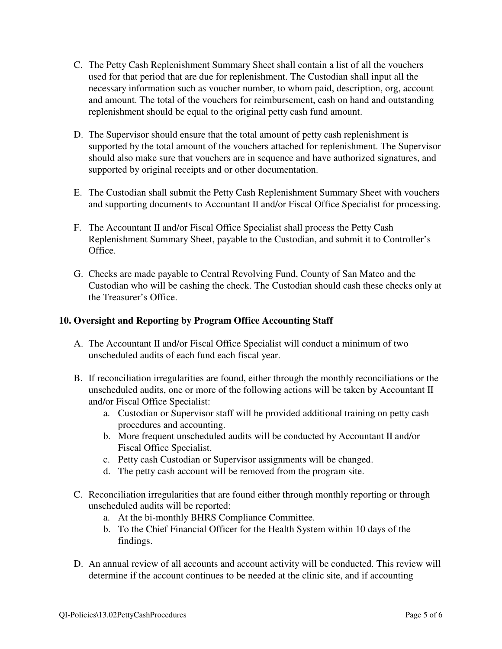- C. The Petty Cash Replenishment Summary Sheet shall contain a list of all the vouchers used for that period that are due for replenishment. The Custodian shall input all the necessary information such as voucher number, to whom paid, description, org, account and amount. The total of the vouchers for reimbursement, cash on hand and outstanding replenishment should be equal to the original petty cash fund amount.
- D. The Supervisor should ensure that the total amount of petty cash replenishment is supported by the total amount of the vouchers attached for replenishment. The Supervisor should also make sure that vouchers are in sequence and have authorized signatures, and supported by original receipts and or other documentation.
- E. The Custodian shall submit the Petty Cash Replenishment Summary Sheet with vouchers and supporting documents to Accountant II and/or Fiscal Office Specialist for processing.
- F. The Accountant II and/or Fiscal Office Specialist shall process the Petty Cash Replenishment Summary Sheet, payable to the Custodian, and submit it to Controller's Office.
- G. Checks are made payable to Central Revolving Fund, County of San Mateo and the Custodian who will be cashing the check. The Custodian should cash these checks only at the Treasurer's Office.

### **10. Oversight and Reporting by Program Office Accounting Staff**

- A. The Accountant II and/or Fiscal Office Specialist will conduct a minimum of two unscheduled audits of each fund each fiscal year.
- B. If reconciliation irregularities are found, either through the monthly reconciliations or the unscheduled audits, one or more of the following actions will be taken by Accountant II and/or Fiscal Office Specialist:
	- a. Custodian or Supervisor staff will be provided additional training on petty cash procedures and accounting.
	- b. More frequent unscheduled audits will be conducted by Accountant II and/or Fiscal Office Specialist.
	- c. Petty cash Custodian or Supervisor assignments will be changed.
	- d. The petty cash account will be removed from the program site.
- C. Reconciliation irregularities that are found either through monthly reporting or through unscheduled audits will be reported:
	- a. At the bi-monthly BHRS Compliance Committee.
	- b. To the Chief Financial Officer for the Health System within 10 days of the findings.
- D. An annual review of all accounts and account activity will be conducted. This review will determine if the account continues to be needed at the clinic site, and if accounting